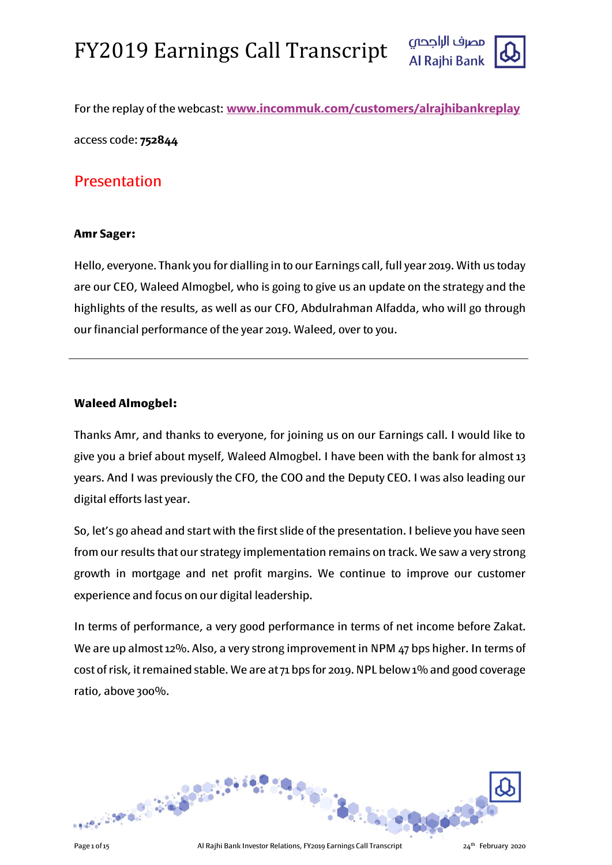

For the replay of the webcast: **[www.incommuk.com/customers/alrajhibankreplay](http://www.incommuk.com/customers/alrajhibankreplay)** access code: **752844**

### Presentation

### **Amr Sager:**

Hello, everyone. Thank you for dialling in to our Earnings call, full year 2019. With us today are our CEO, Waleed Almogbel, who is going to give us an update on the strategy and the highlights of the results, as well as our CFO, Abdulrahman Alfadda, who will go through our financial performance of the year 2019. Waleed, over to you.

### **Waleed Almogbel:**

Thanks Amr, and thanks to everyone, for joining us on our Earnings call. I would like to give you a brief about myself, Waleed Almogbel. I have been with the bank for almost 13 years. And I was previously the CFO, the COO and the Deputy CEO. I was also leading our digital efforts last year.

So, let's go ahead and start with the first slide of the presentation. I believe you have seen from our results that our strategy implementation remains on track. We saw a very strong growth in mortgage and net profit margins. We continue to improve our customer experience and focus on our digital leadership.

In terms of performance, a very good performance in terms of net income before Zakat. We are up almost 12%. Also, a very strong improvement in NPM  $47$  bps higher. In terms of cost of risk, it remained stable. We are at 71 bps for 2019. NPL below 1% and good coverage ratio, above 300%.

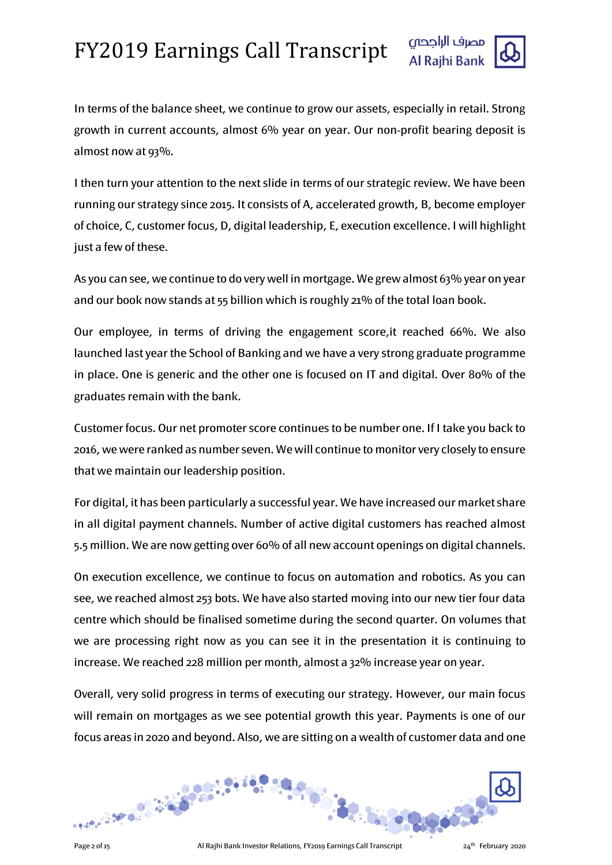



In terms of the balance sheet, we continue to grow our assets, especially in retail. Strong growth in current accounts, almost 6% year on year. Our non-profit bearing deposit is almost now at 93%.

I then turn your attention to the next slide in terms of our strategic review. We have been running our strategy since 2015. It consists of A, accelerated growth, B, become employer of choice, C, customer focus, D, digital leadership, E, execution excellence. I will highlight just a few of these.

As you can see, we continue to do very well in mortgage. We grew almost 63% year on year and our book now stands at 55 billion which is roughly 21% of the total loan book.

Our employee, in terms of driving the engagement score,it reached 66%. We also launched last year the School of Banking and we have a very strong graduate programme in place. One is generic and the other one is focused on IT and digital. Over 80% of the graduates remain with the bank.

Customer focus. Our net promoter score continues to be number one. If I take you back to 2016, we were ranked as number seven. We will continue to monitor very closely to ensure that we maintain our leadership position.

For digital, it has been particularly a successful year. We have increased our market share in all digital payment channels. Number of active digital customers has reached almost 5.5 million. We are now getting over 60% of all new account openings on digital channels.

On execution excellence, we continue to focus on automation and robotics. As you can see, we reached almost 253 bots. We have also started moving into our new tier four data centre which should be finalised sometime during the second quarter. On volumes that we are processing right now as you can see it in the presentation it is continuing to increase. We reached 228 million per month, almost a 32% increase year on year.

Overall, very solid progress in terms of executing our strategy. However, our main focus will remain on mortgages as we see potential growth this year. Payments is one of our focus areas in 2020 and beyond. Also, we are sitting on a wealth of customer data and one

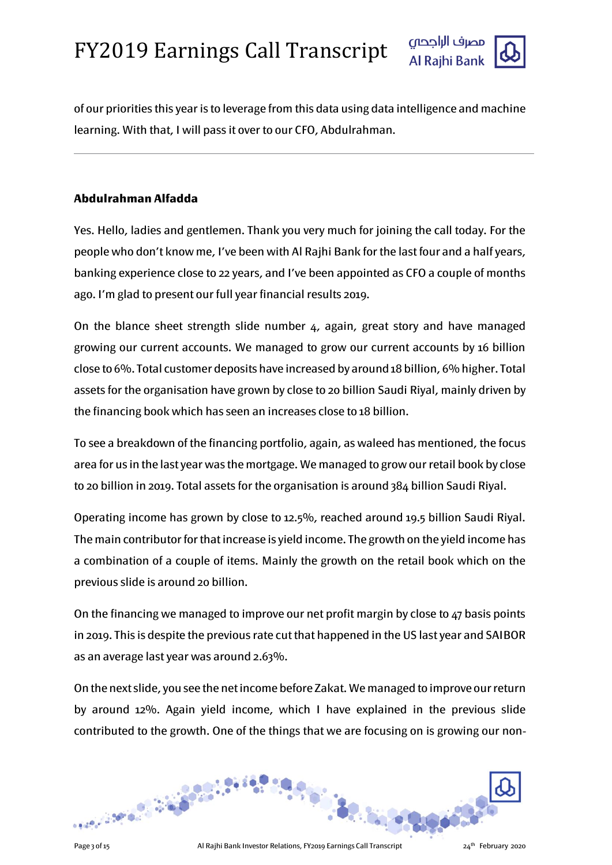

of our priorities this year is to leverage from this data using data intelligence and machine learning. With that, I will pass it over to our CFO, Abdulrahman.

### **Abdulrahman Alfadda**

Yes. Hello, ladies and gentlemen. Thank you very much for joining the call today. For the people who don't know me, I've been with Al Rajhi Bank for the last four and a half years, banking experience close to 22 years, and I've been appointed as CFO a couple of months ago. I'm glad to present our full year financial results 2019.

On the blance sheet strength slide number 4, again, great story and have managed growing our current accounts. We managed to grow our current accounts by 16 billion close to 6%. Total customer deposits have increased by around 18 billion, 6% higher. Total assets for the organisation have grown by close to 20 billion Saudi Riyal, mainly driven by the financing book which has seen an increases close to 18 billion.

To see a breakdown of the financing portfolio, again, as waleed has mentioned, the focus area for us in the last year was the mortgage. We managed to grow our retail book by close to 20 billion in 2019. Total assets for the organisation is around 384 billion Saudi Riyal.

Operating income has grown by close to 12.5%, reached around 19.5 billion Saudi Riyal. The main contributor for that increase is yield income. The growth on the yield income has a combination of a couple of items. Mainly the growth on the retail book which on the previous slide is around 20 billion.

On the financing we managed to improve our net profit margin by close to 47 basis points in 2019. This is despite the previous rate cut that happened in the US last year and SAIBOR as an average last year was around 2.63%.

On the next slide, you see the net income before Zakat. We managed to improve our return by around 12%. Again yield income, which I have explained in the previous slide contributed to the growth. One of the things that we are focusing on is growing our non-

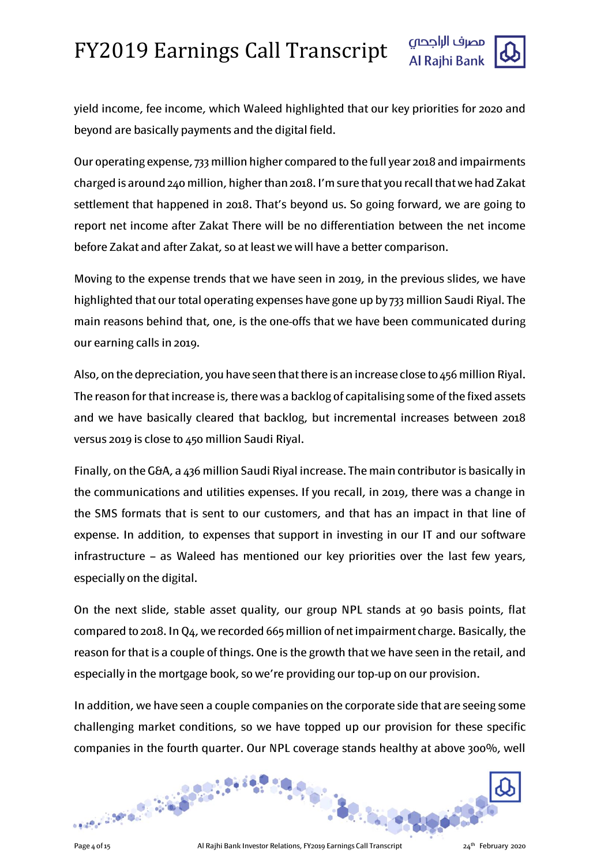



yield income, fee income, which Waleed highlighted that our key priorities for 2020 and beyond are basically payments and the digital field.

Our operating expense, 733 million higher compared to the full year 2018 and impairments charged is around 240 million, higher than 2018. I'm sure that you recall that we had Zakat settlement that happened in 2018. That's beyond us. So going forward, we are going to report net income after Zakat There will be no differentiation between the net income before Zakat and after Zakat, so at least we will have a better comparison.

Moving to the expense trends that we have seen in 2019, in the previous slides, we have highlighted that our total operating expenses have gone up by 733 million Saudi Riyal. The main reasons behind that, one, is the one-offs that we have been communicated during our earning calls in 2019.

Also, on the depreciation, you have seen that there is an increase close to 456 million Riyal. The reason for that increase is, there was a backlog of capitalising some of the fixed assets and we have basically cleared that backlog, but incremental increases between 2018 versus 2019 is close to 450 million Saudi Riyal.

Finally, on the G&A, a 436 million Saudi Riyal increase. The main contributor is basically in the communications and utilities expenses. If you recall, in 2019, there was a change in the SMS formats that is sent to our customers, and that has an impact in that line of expense. In addition, to expenses that support in investing in our IT and our software infrastructure – as Waleed has mentioned our key priorities over the last few years, especially on the digital.

On the next slide, stable asset quality, our group NPL stands at 90 basis points, flat compared to 2018. In Q4, we recorded 665 million of net impairment charge. Basically, the reason for that is a couple of things. One is the growth that we have seen in the retail, and especially in the mortgage book, so we're providing our top-up on our provision.

In addition, we have seen a couple companies on the corporate side that are seeing some challenging market conditions, so we have topped up our provision for these specific companies in the fourth quarter. Our NPL coverage stands healthy at above 300%, well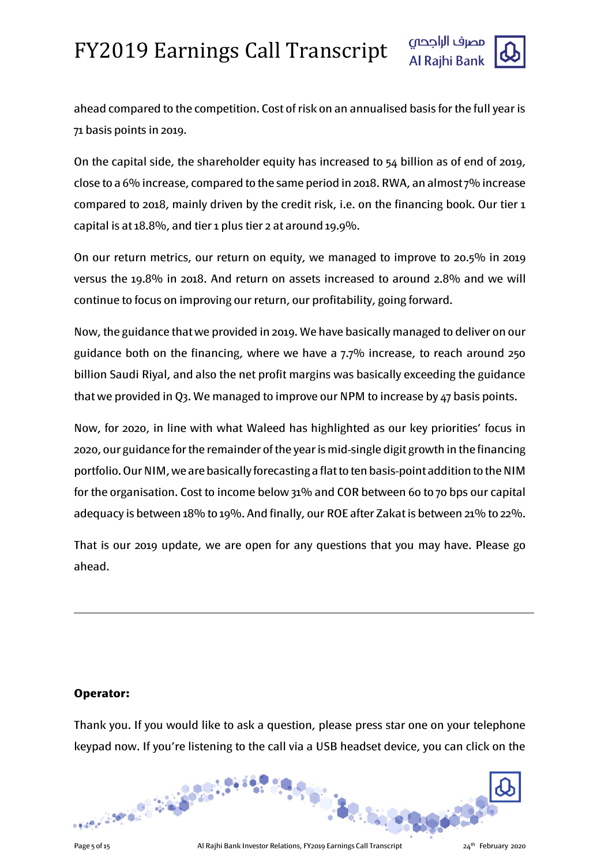

ahead compared to the competition. Cost of risk on an annualised basis for the full year is 71 basis points in 2019.

On the capital side, the shareholder equity has increased to 54 billion as of end of 2019, close to a 6% increase, compared to the same period in 2018. RWA, an almost 7% increase compared to 2018, mainly driven by the credit risk, i.e. on the financing book. Our tier 1 capital is at 18.8%, and tier 1 plus tier 2 at around 19.9%.

On our return metrics, our return on equity, we managed to improve to 20.5% in 2019 versus the 19.8% in 2018. And return on assets increased to around 2.8% and we will continue to focus on improving our return, our profitability, going forward.

Now, the guidance that we provided in 2019. We have basically managed to deliver on our guidance both on the financing, where we have a 7.7% increase, to reach around 250 billion Saudi Riyal, and also the net profit margins was basically exceeding the guidance that we provided in Q3. We managed to improve our NPM to increase by 47 basis points.

Now, for 2020, in line with what Waleed has highlighted as our key priorities' focus in 2020, our guidance for the remainder of the year is mid-single digit growth in the financing portfolio. Our NIM, we are basically forecasting a flat to ten basis-point addition to the NIM for the organisation. Cost to income below 31% and COR between 60 to 70 bps our capital adequacy is between 18% to 19%. And finally, our ROE after Zakat is between 21% to 22%.

That is our 2019 update, we are open for any questions that you may have. Please go ahead.

#### **Operator:**

Thank you. If you would like to ask a question, please press star one on your telephone keypad now. If you're listening to the call via a USB headset device, you can click on the

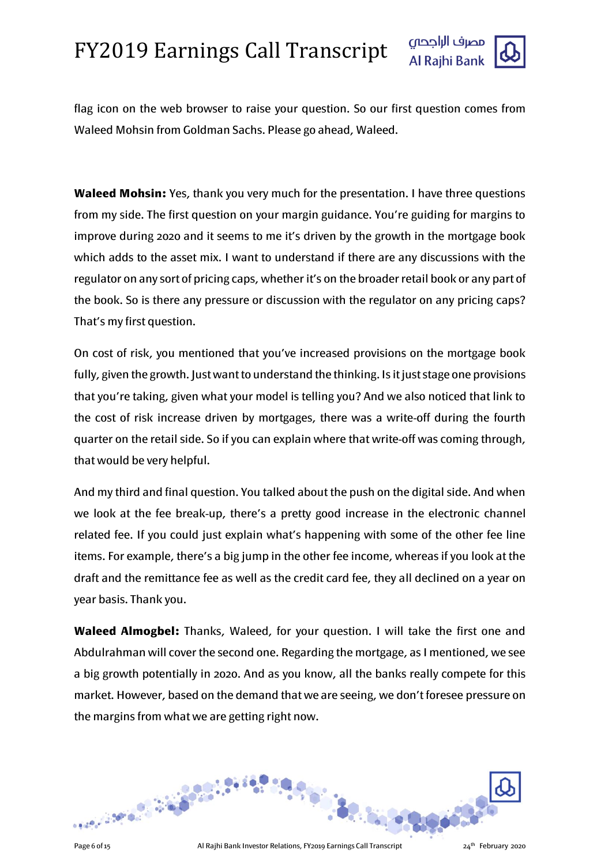



flag icon on the web browser to raise your question. So our first question comes from Waleed Mohsin from Goldman Sachs. Please go ahead, Waleed.

**Waleed Mohsin:** Yes, thank you very much for the presentation. I have three questions from my side. The first question on your margin guidance. You're guiding for margins to improve during 2020 and it seems to me it's driven by the growth in the mortgage book which adds to the asset mix. I want to understand if there are any discussions with the regulator on any sort of pricing caps, whether it's on the broader retail book or any part of the book. So is there any pressure or discussion with the regulator on any pricing caps? That's my first question.

On cost of risk, you mentioned that you've increased provisions on the mortgage book fully, given the growth. Just want to understand the thinking. Is it just stage one provisions that you're taking, given what your model is telling you? And we also noticed that link to the cost of risk increase driven by mortgages, there was a write-off during the fourth quarter on the retail side. So if you can explain where that write-off was coming through, that would be very helpful.

And my third and final question. You talked about the push on the digital side. And when we look at the fee break-up, there's a pretty good increase in the electronic channel related fee. If you could just explain what's happening with some of the other fee line items. For example, there's a big jump in the other fee income, whereas if you look at the draft and the remittance fee as well as the credit card fee, they all declined on a year on year basis. Thank you.

**Waleed Almogbel:** Thanks, Waleed, for your question. I will take the first one and Abdulrahman will cover the second one. Regarding the mortgage, as I mentioned, we see a big growth potentially in 2020. And as you know, all the banks really compete for this market. However, based on the demand that we are seeing, we don't foresee pressure on the margins from what we are getting right now.

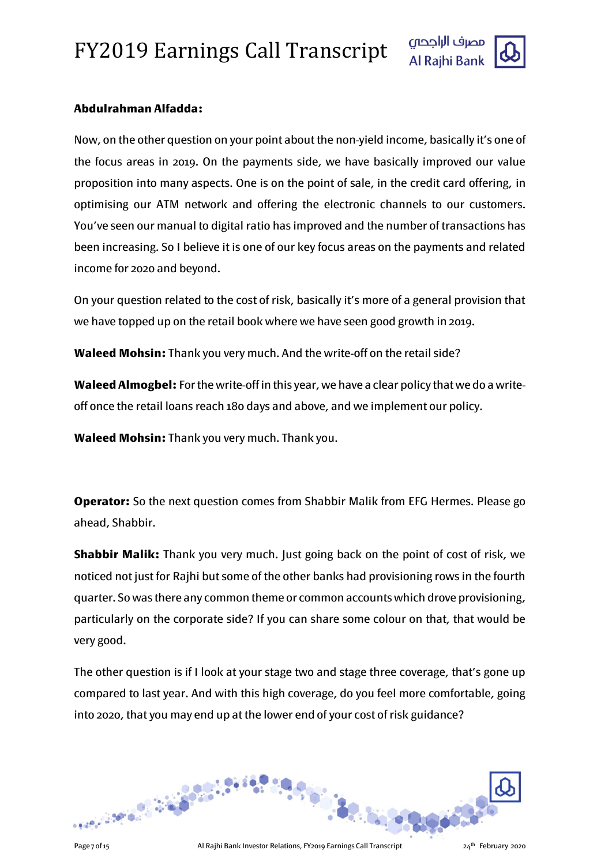

### **Abdulrahman Alfadda:**

Now, on the other question on your point about the non-yield income, basically it's one of the focus areas in 2019. On the payments side, we have basically improved our value proposition into many aspects. One is on the point of sale, in the credit card offering, in optimising our ATM network and offering the electronic channels to our customers. You've seen our manual to digital ratio has improved and the number of transactions has been increasing. So I believe it is one of our key focus areas on the payments and related income for 2020 and beyond.

On your question related to the cost of risk, basically it's more of a general provision that we have topped up on the retail book where we have seen good growth in 2019.

**Waleed Mohsin:** Thank you very much. And the write-off on the retail side?

**Waleed Almogbel:** For the write-off in this year, we have a clear policy that we do a writeoff once the retail loans reach 180 days and above, and we implement our policy.

**Waleed Mohsin:** Thank you very much. Thank you.

**Operator:** So the next question comes from Shabbir Malik from EFG Hermes. Please go ahead, Shabbir.

**Shabbir Malik:** Thank you very much. Just going back on the point of cost of risk, we noticed not just for Rajhi but some of the other banks had provisioning rows in the fourth quarter. So was there any common theme or common accounts which drove provisioning, particularly on the corporate side? If you can share some colour on that, that would be very good.

The other question is if I look at your stage two and stage three coverage, that's gone up compared to last year. And with this high coverage, do you feel more comfortable, going into 2020, that you may end up at the lower end of your cost of risk guidance?

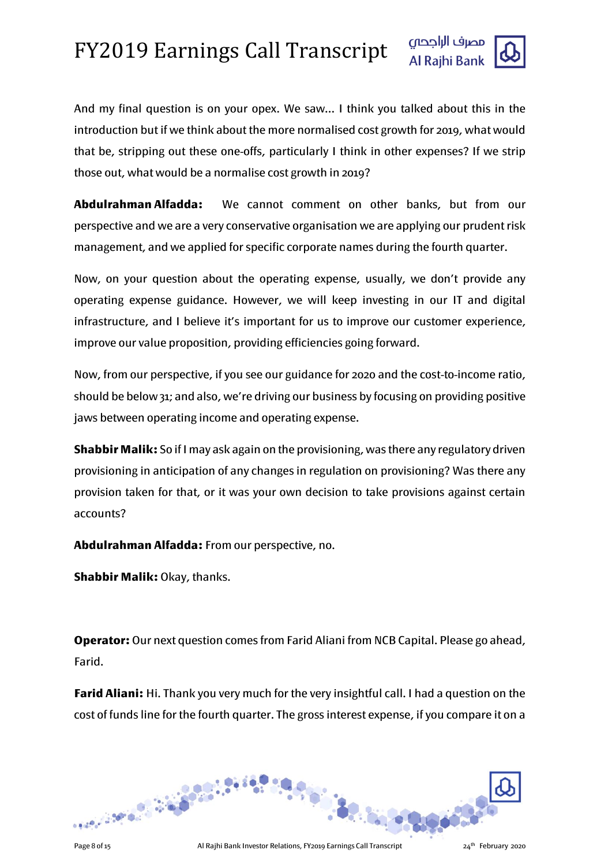



And my final question is on your opex. We saw… I think you talked about this in the introduction but if we think about the more normalised cost growth for 2019, what would that be, stripping out these one-offs, particularly I think in other expenses? If we strip those out, what would be a normalise cost growth in 2019?

**Abdulrahman Alfadda:** We cannot comment on other banks, but from our perspective and we are a very conservative organisation we are applying our prudent risk management, and we applied for specific corporate names during the fourth quarter.

Now, on your question about the operating expense, usually, we don't provide any operating expense guidance. However, we will keep investing in our IT and digital infrastructure, and I believe it's important for us to improve our customer experience, improve our value proposition, providing efficiencies going forward.

Now, from our perspective, if you see our guidance for 2020 and the cost-to-income ratio, should be below 31; and also, we're driving our business by focusing on providing positive jaws between operating income and operating expense.

**Shabbir Malik:**So if I may ask again on the provisioning, was there any regulatory driven provisioning in anticipation of any changes in regulation on provisioning? Was there any provision taken for that, or it was your own decision to take provisions against certain accounts?

**Abdulrahman Alfadda:** From our perspective, no.

**Shabbir Malik:** Okay, thanks.

**Operator:** Our next question comes from Farid Aliani from NCB Capital. Please go ahead, Farid.

**Farid Aliani:** Hi. Thank you very much for the very insightful call. I had a question on the cost of funds line for the fourth quarter. The gross interest expense, if you compare it on a

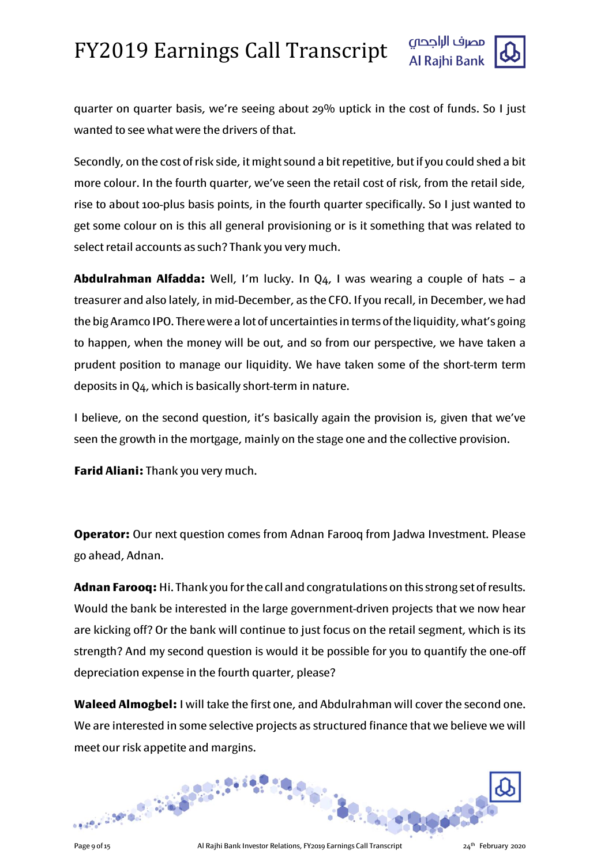

quarter on quarter basis, we're seeing about 29% uptick in the cost of funds. So I just wanted to see what were the drivers of that.

Secondly, on the cost of risk side, it might sound a bit repetitive, but if you could shed a bit more colour. In the fourth quarter, we've seen the retail cost of risk, from the retail side, rise to about 100-plus basis points, in the fourth quarter specifically. So I just wanted to get some colour on is this all general provisioning or is it something that was related to select retail accounts as such? Thank you very much.

**Abdulrahman Alfadda:** Well, I'm lucky. In Q4, I was wearing a couple of hats – a treasurer and also lately, in mid-December, as the CFO. If you recall, in December, we had the big Aramco IPO. There were a lot of uncertainties in terms of the liquidity, what's going to happen, when the money will be out, and so from our perspective, we have taken a prudent position to manage our liquidity. We have taken some of the short-term term deposits in Q4, which is basically short-term in nature.

I believe, on the second question, it's basically again the provision is, given that we've seen the growth in the mortgage, mainly on the stage one and the collective provision.

**Farid Aliani:** Thank you very much.

**Operator:** Our next question comes from Adnan Farooq from Jadwa Investment. Please go ahead, Adnan.

**Adnan Farooq:** Hi. Thank you for the call and congratulations on this strong set of results. Would the bank be interested in the large government-driven projects that we now hear are kicking off? Or the bank will continue to just focus on the retail segment, which is its strength? And my second question is would it be possible for you to quantify the one-off depreciation expense in the fourth quarter, please?

**Waleed Almogbel:** I will take the first one, and Abdulrahman will cover the second one. We are interested in some selective projects as structured finance that we believe we will meet our risk appetite and margins.

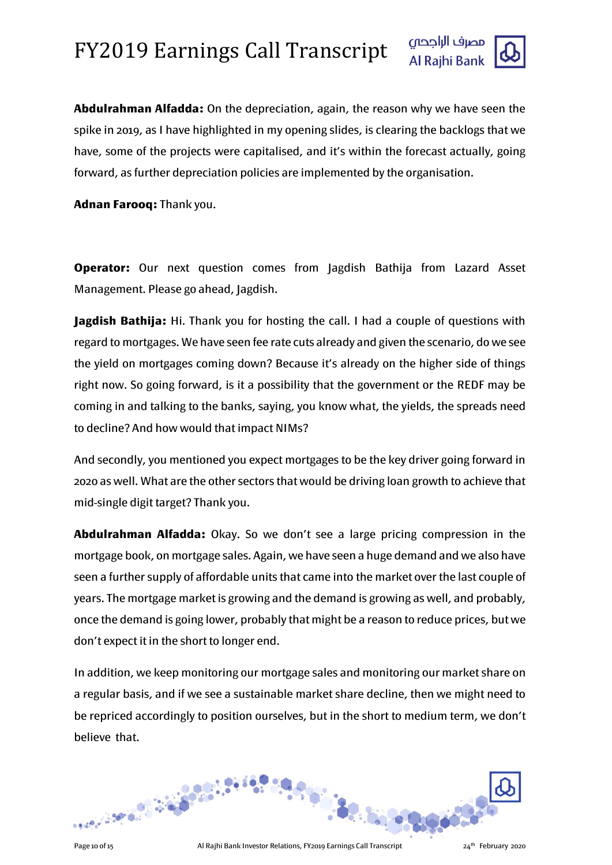

**Abdulrahman Alfadda:** On the depreciation, again, the reason why we have seen the spike in 2019, as I have highlighted in my opening slides, is clearing the backlogs that we have, some of the projects were capitalised, and it's within the forecast actually, going forward, as further depreciation policies are implemented by the organisation.

**Adnan Farooq:** Thank you.

**Operator:** Our next question comes from Jagdish Bathija from Lazard Asset Management. Please go ahead, Jagdish.

**Jagdish Bathija:** Hi. Thank you for hosting the call. I had a couple of questions with regard to mortgages. We have seen fee rate cuts already and given the scenario, do we see the yield on mortgages coming down? Because it's already on the higher side of things right now. So going forward, is it a possibility that the government or the REDF may be coming in and talking to the banks, saying, you know what, the yields, the spreads need to decline? And how would that impact NIMs?

And secondly, you mentioned you expect mortgages to be the key driver going forward in 2020 as well. What are the other sectors that would be driving loan growth to achieve that mid-single digit target? Thank you.

**Abdulrahman Alfadda:** Okay. So we don't see a large pricing compression in the mortgage book, on mortgage sales. Again, we have seen a huge demand and we also have seen a further supply of affordable units that came into the market over the last couple of years. The mortgage market is growing and the demand is growing as well, and probably, once the demand is going lower, probably that might be a reason to reduce prices, but we don't expect it in the short to longer end.

In addition, we keep monitoring our mortgage sales and monitoring our market share on a regular basis, and if we see a sustainable market share decline, then we might need to be repriced accordingly to position ourselves, but in the short to medium term, we don't believe that.

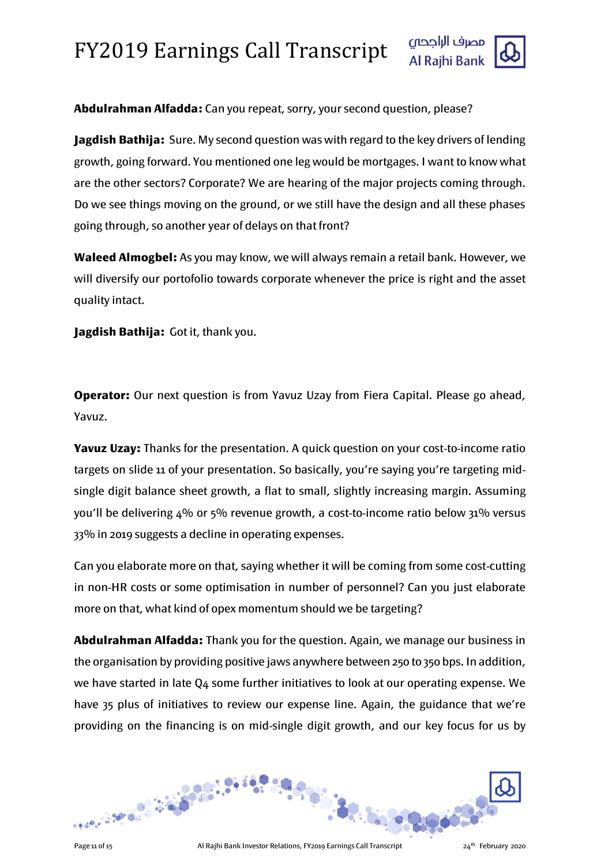

**Abdulrahman Alfadda:** Can you repeat, sorry, your second question, please?

**Jagdish Bathija:** Sure. My second question was with regard to the key drivers of lending growth, going forward. You mentioned one leg would be mortgages. I want to know what are the other sectors? Corporate? We are hearing of the major projects coming through. Do we see things moving on the ground, or we still have the design and all these phases going through, so another year of delays on that front?

**Waleed Almogbel:** As you may know, we will always remain a retail bank. However, we will diversify our portofolio towards corporate whenever the price is right and the asset quality intact.

**Jagdish Bathija:** Got it, thank you.

**Operator:** Our next question is from Yavuz Uzay from Fiera Capital. Please go ahead, Yavuz.

**Yavuz Uzay:** Thanks for the presentation. A quick question on your cost-to-income ratio targets on slide 11 of your presentation. So basically, you're saying you're targeting midsingle digit balance sheet growth, a flat to small, slightly increasing margin. Assuming you'll be delivering 4% or 5% revenue growth, a cost-to-income ratio below 31% versus 33% in 2019 suggests a decline in operating expenses.

Can you elaborate more on that, saying whether it will be coming from some cost-cutting in non-HR costs or some optimisation in number of personnel? Can you just elaborate more on that, what kind of opex momentum should we be targeting?

**Abdulrahman Alfadda:** Thank you for the question. Again, we manage our business in the organisation by providing positive jaws anywhere between 250 to 350 bps. In addition, we have started in late Q4 some further initiatives to look at our operating expense. We have 35 plus of initiatives to review our expense line. Again, the guidance that we're providing on the financing is on mid-single digit growth, and our key focus for us by

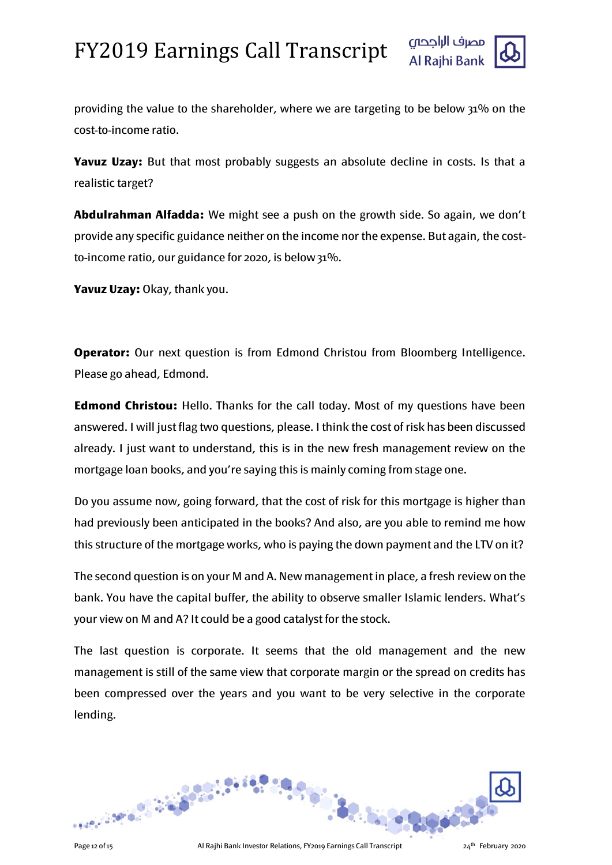

**Yavuz Uzay:** But that most probably suggests an absolute decline in costs. Is that a realistic target?

**Abdulrahman Alfadda:** We might see a push on the growth side. So again, we don't provide any specific guidance neither on the income nor the expense. But again, the costto-income ratio, our guidance for 2020, is below 31%.

Yavuz Uzay: Okay, thank you.

**Operator:** Our next question is from Edmond Christou from Bloomberg Intelligence. Please go ahead, Edmond.

**Edmond Christou:** Hello. Thanks for the call today. Most of my questions have been answered. I will just flag two questions, please. I think the cost of risk has been discussed already. I just want to understand, this is in the new fresh management review on the mortgage loan books, and you're saying this is mainly coming from stage one.

Do you assume now, going forward, that the cost of risk for this mortgage is higher than had previously been anticipated in the books? And also, are you able to remind me how this structure of the mortgage works, who is paying the down payment and the LTV on it?

The second question is on your M and A. New management in place, a fresh review on the bank. You have the capital buffer, the ability to observe smaller Islamic lenders. What's your view on M and A? It could be a good catalyst for the stock.

The last question is corporate. It seems that the old management and the new management is still of the same view that corporate margin or the spread on credits has been compressed over the years and you want to be very selective in the corporate lending.

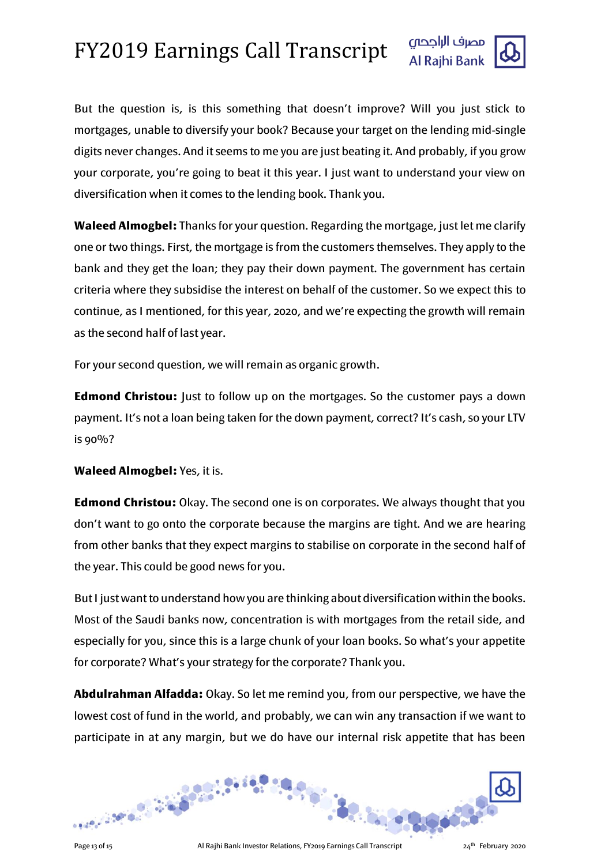



But the question is, is this something that doesn't improve? Will you just stick to mortgages, unable to diversify your book? Because your target on the lending mid-single digits never changes. And it seems to me you are just beating it. And probably, if you grow your corporate, you're going to beat it this year. I just want to understand your view on diversification when it comes to the lending book. Thank you.

**Waleed Almogbel:** Thanks for your question. Regarding the mortgage, just let me clarify one or two things. First, the mortgage is from the customers themselves. They apply to the bank and they get the loan; they pay their down payment. The government has certain criteria where they subsidise the interest on behalf of the customer. So we expect this to continue, as I mentioned, for this year, 2020, and we're expecting the growth will remain as the second half of last year.

For your second question, we will remain as organic growth.

**Edmond Christou:** Just to follow up on the mortgages. So the customer pays a down payment. It's not a loan being taken for the down payment, correct? It's cash, so your LTV is 90%?

**Waleed Almogbel:** Yes, it is.

**Edmond Christou:** Okay. The second one is on corporates. We always thought that you don't want to go onto the corporate because the margins are tight. And we are hearing from other banks that they expect margins to stabilise on corporate in the second half of the year. This could be good news for you.

But I just want to understand how you are thinking about diversification within the books. Most of the Saudi banks now, concentration is with mortgages from the retail side, and especially for you, since this is a large chunk of your loan books. So what's your appetite for corporate? What's your strategy for the corporate? Thank you.

**Abdulrahman Alfadda:** Okay. So let me remind you, from our perspective, we have the lowest cost of fund in the world, and probably, we can win any transaction if we want to participate in at any margin, but we do have our internal risk appetite that has been

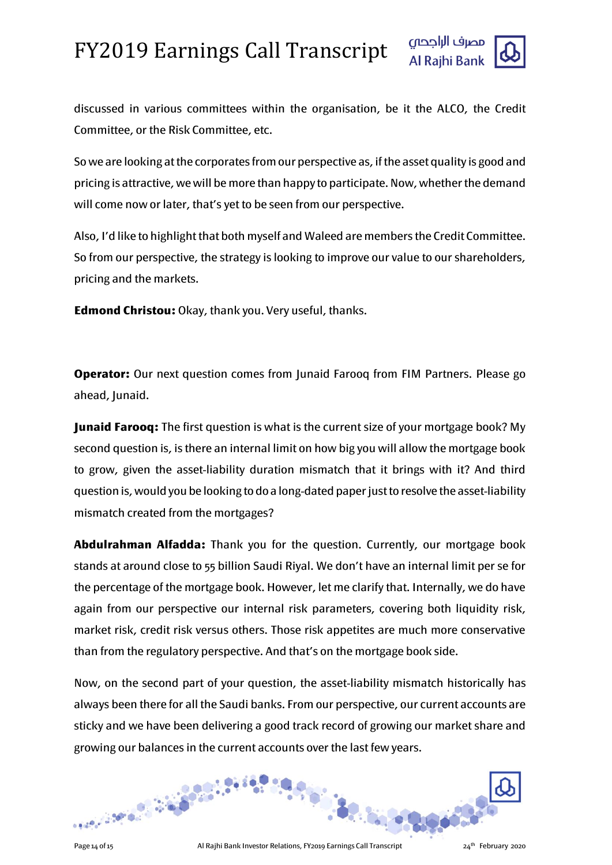

discussed in various committees within the organisation, be it the ALCO, the Credit Committee, or the Risk Committee, etc.

So we are looking at the corporates from our perspective as, if the asset quality is good and pricing is attractive, we will be more than happy to participate. Now, whether the demand will come now or later, that's yet to be seen from our perspective.

Also, I'd like to highlight that both myself and Waleed are members the Credit Committee. So from our perspective, the strategy is looking to improve our value to our shareholders, pricing and the markets.

**Edmond Christou:** Okay, thank you. Very useful, thanks.

**Operator:** Our next question comes from Junaid Farooq from FIM Partners. Please go ahead, Junaid.

**Junaid Farooq:** The first question is what is the current size of your mortgage book? My second question is, is there an internal limit on how big you will allow the mortgage book to grow, given the asset-liability duration mismatch that it brings with it? And third question is, would you be looking to do a long-dated paper just to resolve the asset-liability mismatch created from the mortgages?

**Abdulrahman Alfadda:** Thank you for the question. Currently, our mortgage book stands at around close to 55 billion Saudi Riyal. We don't have an internal limit per se for the percentage of the mortgage book. However, let me clarify that. Internally, we do have again from our perspective our internal risk parameters, covering both liquidity risk, market risk, credit risk versus others. Those risk appetites are much more conservative than from the regulatory perspective. And that's on the mortgage book side.

Now, on the second part of your question, the asset-liability mismatch historically has always been there for all the Saudi banks. From our perspective, our current accounts are sticky and we have been delivering a good track record of growing our market share and growing our balances in the current accounts over the last few years.

**CONTRACTOR** 

39.80